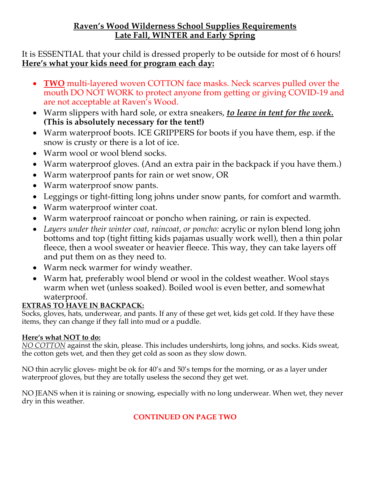### **Raven's Wood Wilderness School Supplies Requirements Late Fall, WINTER and Early Spring**

It is ESSENTIAL that your child is dressed properly to be outside for most of 6 hours! **Here's what your kids need for program each day:**

- **TWO** multi-layered woven COTTON face masks. Neck scarves pulled over the mouth DO NOT WORK to protect anyone from getting or giving COVID-19 and are not acceptable at Raven's Wood.
- Warm slippers with hard sole, or extra sneakers, *to leave in tent for the week.* **(This is absolutely necessary for the tent!)**
- Warm waterproof boots. ICE GRIPPERS for boots if you have them, esp. if the snow is crusty or there is a lot of ice.
- Warm wool or wool blend socks.
- Warm waterproof gloves. (And an extra pair in the backpack if you have them.)
- Warm waterproof pants for rain or wet snow, OR
- Warm waterproof snow pants.
- Leggings or tight-fitting long johns under snow pants, for comfort and warmth.
- Warm waterproof winter coat.
- Warm waterproof raincoat or poncho when raining, or rain is expected.
- *Layers under their winter coat, raincoat, or poncho:* acrylic or nylon blend long john bottoms and top (tight fitting kids pajamas usually work well), then a thin polar fleece, then a wool sweater or heavier fleece. This way, they can take layers off and put them on as they need to.
- Warm neck warmer for windy weather.
- Warm hat, preferably wool blend or wool in the coldest weather. Wool stays warm when wet (unless soaked). Boiled wool is even better, and somewhat waterproof.

## **EXTRAS TO HAVE IN BACKPACK:**

Socks, gloves, hats, underwear, and pants. If any of these get wet, kids get cold. If they have these items, they can change if they fall into mud or a puddle.

### **Here's what NOT to do:**

*NO COTTON* against the skin, please. This includes undershirts, long johns, and socks. Kids sweat, the cotton gets wet, and then they get cold as soon as they slow down.

NO thin acrylic gloves- might be ok for 40's and 50's temps for the morning, or as a layer under waterproof gloves, but they are totally useless the second they get wet.

NO JEANS when it is raining or snowing, especially with no long underwear. When wet, they never dry in this weather.

### **CONTINUED ON PAGE TWO**